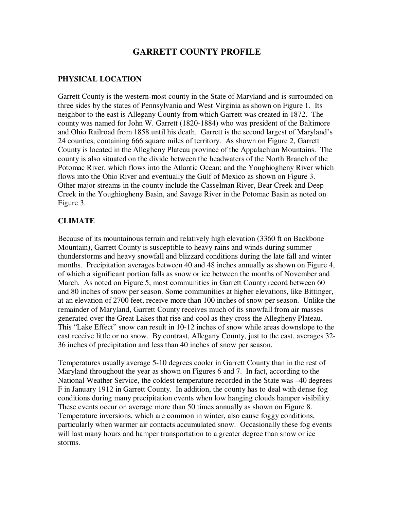# **GARRETT COUNTY PROFILE**

### **PHYSICAL LOCATION**

Garrett County is the western-most county in the State of Maryland and is surrounded on three sides by the states of Pennsylvania and West Virginia as shown on Figure 1. Its neighbor to the east is Allegany County from which Garrett was created in 1872. The county was named for John W. Garrett (1820-1884) who was president of the Baltimore and Ohio Railroad from 1858 until his death. Garrett is the second largest of Maryland's 24 counties, containing 666 square miles of territory. As shown on Figure 2, Garrett County is located in the Allegheny Plateau province of the Appalachian Mountains. The county is also situated on the divide between the headwaters of the North Branch of the Potomac River, which flows into the Atlantic Ocean; and the Youghiogheny River which flows into the Ohio River and eventually the Gulf of Mexico as shown on Figure 3. Other major streams in the county include the Casselman River, Bear Creek and Deep Creek in the Youghiogheny Basin, and Savage River in the Potomac Basin as noted on Figure 3.

### **CLIMATE**

Because of its mountainous terrain and relatively high elevation (3360 ft on Backbone Mountain), Garrett County is susceptible to heavy rains and winds during summer thunderstorms and heavy snowfall and blizzard conditions during the late fall and winter months. Precipitation averages between 40 and 48 inches annually as shown on Figure 4, of which a significant portion falls as snow or ice between the months of November and March. As noted on Figure 5, most communities in Garrett County record between 60 and 80 inches of snow per season. Some communities at higher elevations, like Bittinger, at an elevation of 2700 feet, receive more than 100 inches of snow per season. Unlike the remainder of Maryland, Garrett County receives much of its snowfall from air masses generated over the Great Lakes that rise and cool as they cross the Allegheny Plateau. This "Lake Effect" snow can result in 10-12 inches of snow while areas downslope to the east receive little or no snow. By contrast, Allegany County, just to the east, averages 32- 36 inches of precipitation and less than 40 inches of snow per season.

Temperatures usually average 5-10 degrees cooler in Garrett County than in the rest of Maryland throughout the year as shown on Figures 6 and 7. In fact, according to the National Weather Service, the coldest temperature recorded in the State was –40 degrees F in January 1912 in Garrett County. In addition, the county has to deal with dense fog conditions during many precipitation events when low hanging clouds hamper visibility. These events occur on average more than 50 times annually as shown on Figure 8. Temperature inversions, which are common in winter, also cause foggy conditions, particularly when warmer air contacts accumulated snow. Occasionally these fog events will last many hours and hamper transportation to a greater degree than snow or ice storms.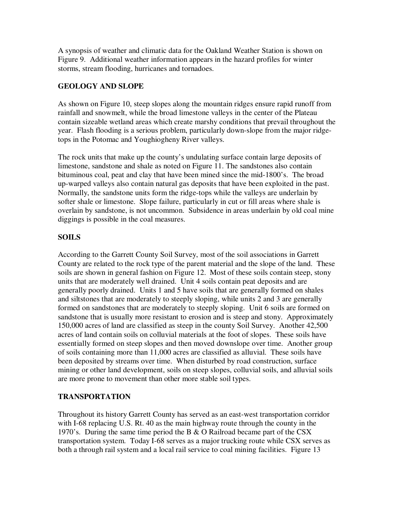A synopsis of weather and climatic data for the Oakland Weather Station is shown on Figure 9. Additional weather information appears in the hazard profiles for winter storms, stream flooding, hurricanes and tornadoes.

#### **GEOLOGY AND SLOPE**

As shown on Figure 10, steep slopes along the mountain ridges ensure rapid runoff from rainfall and snowmelt, while the broad limestone valleys in the center of the Plateau contain sizeable wetland areas which create marshy conditions that prevail throughout the year. Flash flooding is a serious problem, particularly down-slope from the major ridgetops in the Potomac and Youghiogheny River valleys.

The rock units that make up the county's undulating surface contain large deposits of limestone, sandstone and shale as noted on Figure 11. The sandstones also contain bituminous coal, peat and clay that have been mined since the mid-1800's. The broad up-warped valleys also contain natural gas deposits that have been exploited in the past. Normally, the sandstone units form the ridge-tops while the valleys are underlain by softer shale or limestone. Slope failure, particularly in cut or fill areas where shale is overlain by sandstone, is not uncommon. Subsidence in areas underlain by old coal mine diggings is possible in the coal measures.

### **SOILS**

According to the Garrett County Soil Survey, most of the soil associations in Garrett County are related to the rock type of the parent material and the slope of the land. These soils are shown in general fashion on Figure 12. Most of these soils contain steep, stony units that are moderately well drained. Unit 4 soils contain peat deposits and are generally poorly drained. Units 1 and 5 have soils that are generally formed on shales and siltstones that are moderately to steeply sloping, while units 2 and 3 are generally formed on sandstones that are moderately to steeply sloping. Unit 6 soils are formed on sandstone that is usually more resistant to erosion and is steep and stony. Approximately 150,000 acres of land are classified as steep in the county Soil Survey. Another 42,500 acres of land contain soils on colluvial materials at the foot of slopes. These soils have essentially formed on steep slopes and then moved downslope over time. Another group of soils containing more than 11,000 acres are classified as alluvial. These soils have been deposited by streams over time. When disturbed by road construction, surface mining or other land development, soils on steep slopes, colluvial soils, and alluvial soils are more prone to movement than other more stable soil types.

### **TRANSPORTATION**

Throughout its history Garrett County has served as an east-west transportation corridor with I-68 replacing U.S. Rt. 40 as the main highway route through the county in the 1970's. During the same time period the B & O Railroad became part of the CSX transportation system. Today I-68 serves as a major trucking route while CSX serves as both a through rail system and a local rail service to coal mining facilities. Figure 13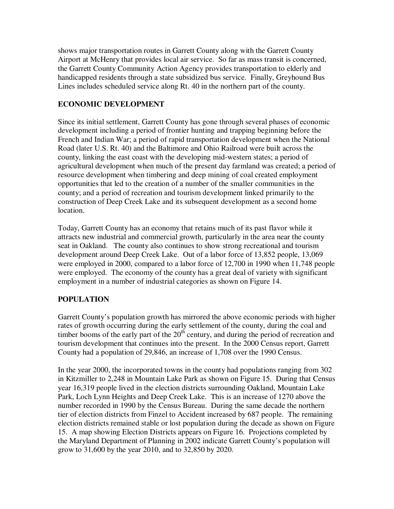shows major transportation routes in Garrett County along with the Garrett County Airport at McHenry that provides local air service. So far as mass transit is concerned, the Garrett County Community Action Agency provides transportation to elderly and handicapped residents through a state subsidized bus service. Finally, Greyhound Bus Lines includes scheduled service along Rt. 40 in the northern part of the county.

### **ECONOMIC DEVELOPMENT**

Since its initial settlement, Garrett County has gone through several phases of economic development including a period of frontier hunting and trapping beginning before the French and Indian War; a period of rapid transportation development when the National Road (later U.S. Rt. 40) and the Baltimore and Ohio Railroad were built across the county, linking the east coast with the developing mid-western states; a period of agricultural development when much of the present day farmland was created; a period of resource development when timbering and deep mining of coal created employment opportunities that led to the creation of a number of the smaller communities in the county; and a period of recreation and tourism development linked primarily to the construction of Deep Creek Lake and its subsequent development as a second home location.

Today, Garrett County has an economy that retains much of its past flavor while it attracts new industrial and commercial growth, particularly in the area near the county seat in Oakland. The county also continues to show strong recreational and tourism development around Deep Creek Lake. Out of a labor force of 13,852 people, 13,069 were employed in 2000, compared to a labor force of 12,700 in 1990 when 11,748 people were employed. The economy of the county has a great deal of variety with significant employment in a number of industrial categories as shown on Figure 14.

# **POPULATION**

Garrett County's population growth has mirrored the above economic periods with higher rates of growth occurring during the early settlement of the county, during the coal and timber booms of the early part of the  $20<sup>th</sup>$  century, and during the period of recreation and tourism development that continues into the present. In the 2000 Census report, Garrett County had a population of 29,846, an increase of 1,708 over the 1990 Census.

In the year 2000, the incorporated towns in the county had populations ranging from 302 in Kitzmiller to 2,248 in Mountain Lake Park as shown on Figure 15. During that Census year 16,319 people lived in the election districts surrounding Oakland, Mountain Lake Park, Loch Lynn Heights and Deep Creek Lake. This is an increase of 1270 above the number recorded in 1990 by the Census Bureau. During the same decade the northern tier of election districts from Finzel to Accident increased by 687 people. The remaining election districts remained stable or lost population during the decade as shown on Figure 15. A map showing Election Districts appears on Figure 16. Projections completed by the Maryland Department of Planning in 2002 indicate Garrett County's population will grow to 31,600 by the year 2010, and to 32,850 by 2020.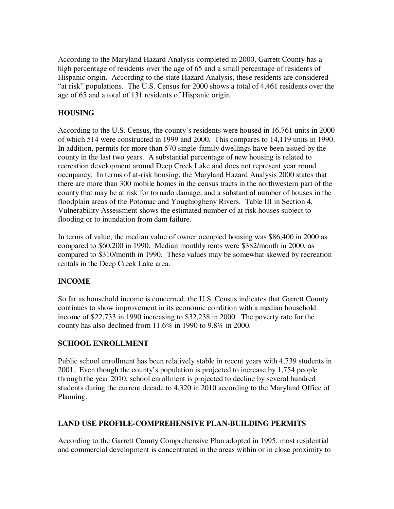According to the Maryland Hazard Analysis completed in 2000, Garrett County has a high percentage of residents over the age of 65 and a small percentage of residents of Hispanic origin. According to the state Hazard Analysis, these residents are considered "at risk" populations. The U.S. Census for 2000 shows a total of 4,461 residents over the age of 65 and a total of 131 residents of Hispanic origin.

### **HOUSING**

According to the U.S. Census, the county's residents were housed in 16,761 units in 2000 of which 514 were constructed in 1999 and 2000. This compares to 14,119 units in 1990. In addition, permits for more than 570 single-family dwellings have been issued by the county in the last two years. A substantial percentage of new housing is related to recreation development around Deep Creek Lake and does not represent year round occupancy. In terms of at-risk housing, the Maryland Hazard Analysis 2000 states that there are more than 300 mobile homes in the census tracts in the northwestern part of the county that may be at risk for tornado damage, and a substantial number of houses in the floodplain areas of the Potomac and Youghiogheny Rivers. Table III in Section 4, Vulnerability Assessment shows the estimated number of at risk houses subject to flooding or to inundation from dam failure.

In terms of value, the median value of owner occupied housing was \$86,400 in 2000 as compared to \$60,200 in 1990. Median monthly rents were \$382/month in 2000, as compared to \$310/month in 1990. These values may be somewhat skewed by recreation rentals in the Deep Creek Lake area.

# **INCOME**

So far as household income is concerned, the U.S. Census indicates that Garrett County continues to show improvement in its economic condition with a median household income of \$22,733 in 1990 increasing to \$32,238 in 2000. The poverty rate for the county has also declined from 11.6% in 1990 to 9.8% in 2000.

### **SCHOOL ENROLLMENT**

Public school enrollment has been relatively stable in recent years with 4,739 students in 2001. Even though the county's population is projected to increase by 1,754 people through the year 2010, school enrollment is projected to decline by several hundred students during the current decade to 4,320 in 2010 according to the Maryland Office of Planning.

### **LAND USE PROFILE-COMPREHENSIVE PLAN-BUILDING PERMITS**

According to the Garrett County Comprehensive Plan adopted in 1995, most residential and commercial development is concentrated in the areas within or in close proximity to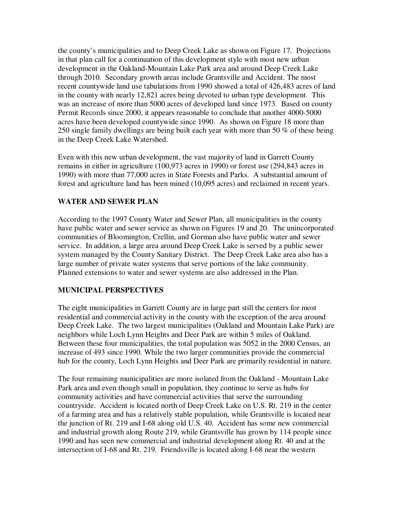the county's municipalities and to Deep Creek Lake as shown on Figure 17. Projections in that plan call for a continuation of this development style with most new urban development in the Oakland-Mountain Lake Park area and around Deep Creek Lake through 2010. Secondary growth areas include Grantsville and Accident. The most recent countywide land use tabulations from 1990 showed a total of 426,483 acres of land in the county with nearly 12,821 acres being devoted to urban type development. This was an increase of more than 5000 acres of developed land since 1973. Based on county Permit Records since 2000, it appears reasonable to conclude that another 4000-5000 acres have been developed countywide since 1990. As shown on Figure 18 more than 250 single family dwellings are being built each year with more than 50 % of these being in the Deep Creek Lake Watershed.

Even with this new urban development, the vast majority of land in Garrett County remains in either in agriculture (100,973 acres in 1990) or forest use (294,843 acres in 1990) with more than 77,000 acres in State Forests and Parks. A substantial amount of forest and agriculture land has been mined (10,095 acres) and reclaimed in recent years.

### **WATER AND SEWER PLAN**

According to the 1997 County Water and Sewer Plan, all municipalities in the county have public water and sewer service as shown on Figures 19 and 20. The unincorporated communities of Bloomington, Crellin, and Gorman also have public water and sewer service. In addition, a large area around Deep Creek Lake is served by a public sewer system managed by the County Sanitary District. The Deep Creek Lake area also has a large number of private water systems that serve portions of the lake community. Planned extensions to water and sewer systems are also addressed in the Plan.

#### **MUNICIPAL PERSPECTIVES**

The eight municipalities in Garrett County are in large part still the centers for most residential and commercial activity in the county with the exception of the area around Deep Creek Lake. The two largest municipalities (Oakland and Mountain Lake Park) are neighbors while Loch Lynn Heights and Deer Park are within 5 miles of Oakland. Between these four municipalities, the total population was 5052 in the 2000 Census, an increase of 493 since 1990. While the two larger communities provide the commercial hub for the county, Loch Lynn Heights and Deer Park are primarily residential in nature.

The four remaining municipalities are more isolated from the Oakland - Mountain Lake Park area and even though small in population, they continue to serve as hubs for community activities and have commercial activities that serve the surrounding countryside. Accident is located north of Deep Creek Lake on U.S. Rt. 219 in the center of a farming area and has a relatively stable population, while Grantsville is located near the junction of Rt. 219 and I-68 along old U.S. 40. Accident has some new commercial and industrial growth along Route 219, while Grantsville has grown by 114 people since 1990 and has seen new commercial and industrial development along Rt. 40 and at the intersection of I-68 and Rt. 219. Friendsville is located along I-68 near the western